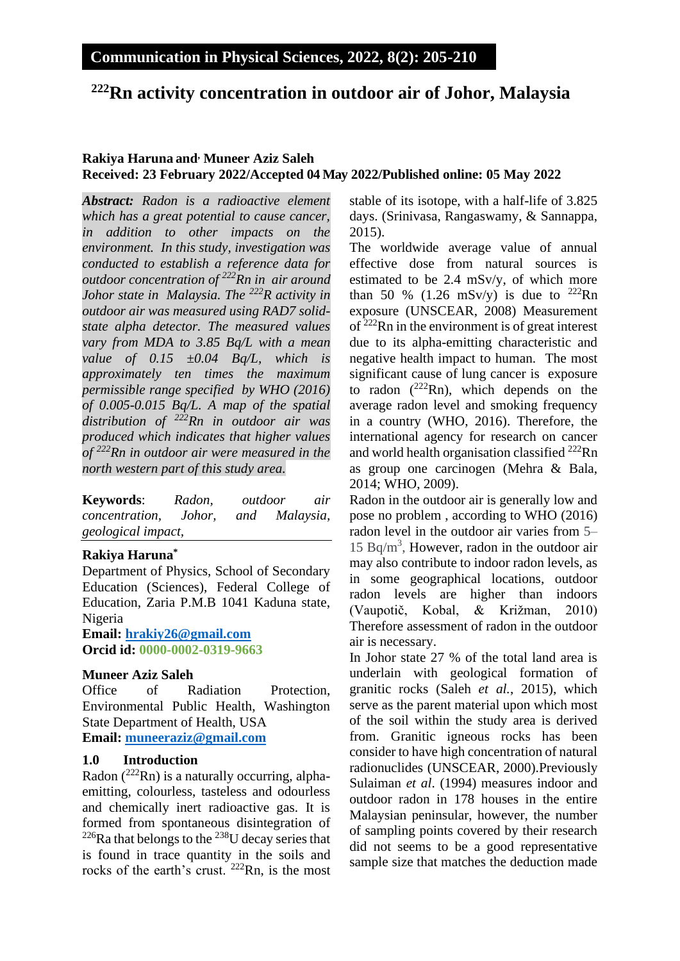# **<sup>222</sup>Rn activity concentration in outdoor air of Johor, Malaysia**

#### **Rakiya Haruna and, Muneer Aziz Saleh Received: 23 February 2022/Accepted 04 May 2022/Published online: 05 May 2022**

*Abstract: Radon is a radioactive element which has a great potential to cause cancer, in addition to other impacts on the environment. In this study, investigation was conducted to establish a reference data for outdoor concentration of <sup>222</sup>Rn in air around Johor state in Malaysia. The <sup>222</sup>R activity in outdoor air was measured using RAD7 solidstate alpha detector. The measured values vary from MDA to 3.85 Bq/L with a mean value of 0.15 ±0.04 Bq/L, which is approximately ten times the maximum permissible range specified by WHO (2016) of 0.005-0.015 Bq/L. A map of the spatial distribution of <sup>222</sup>Rn in outdoor air was produced which indicates that higher values of <sup>222</sup>Rn in outdoor air were measured in the north western part of this study area.*

**Keywords**: *Radon, outdoor air concentration, Johor, and Malaysia, geological impact,* 

#### **Rakiya Haruna\***

Department of Physics, School of Secondary Education (Sciences), Federal College of Education, Zaria P.M.B 1041 Kaduna state, Nigeria

**Email: [hrakiy26@gmail.com](mailto:hrakiy26@gmail.com) Orcid id: 0000-0002-0319-9663**

#### **Muneer Aziz Saleh**

Office of Radiation Protection, Environmental Public Health, Washington State Department of Health, USA **Email: [muneeraziz@gmail.com](mailto:muneeraziz@gmail.com)**

### **1.0 Introduction**

Radon  $(^{222}$ Rn) is a naturally occurring, alphaemitting, colourless, tasteless and odourless and chemically inert radioactive gas. It is formed from spontaneous disintegration of  $226$ Ra that belongs to the  $238$ U decay series that is found in trace quantity in the soils and rocks of the earth's crust. <sup>222</sup>Rn, is the most stable of its isotope, with a half-life of 3.825 days. (Srinivasa, Rangaswamy, & Sannappa, 2015).

The worldwide average value of annual effective dose from natural sources is estimated to be 2.4 mSv/y, of which more than 50 % (1.26 mSv/y) is due to  $^{222}$ Rn exposure (UNSCEAR, 2008) Measurement of <sup>222</sup>Rn in the environment is of great interest due to its alpha-emitting characteristic and negative health impact to human. The most significant cause of lung cancer is exposure to radon  $(^{222}Rn)$ , which depends on the average radon level and smoking frequency in a country (WHO, 2016). Therefore, the international agency for research on cancer and world health organisation classified <sup>222</sup>Rn as group one carcinogen (Mehra & Bala, 2014; WHO, 2009).

Radon in the outdoor air is generally low and pose no problem , according to WHO (2016) radon level in the outdoor air varies from 5– 15 Bq/m<sup>3</sup> , However, radon in the outdoor air may also contribute to indoor radon levels, as in some geographical locations, outdoor radon levels are higher than indoors (Vaupotič, Kobal, & Križman, 2010) Therefore assessment of radon in the outdoor air is necessary.

In Johor state 27 % of the total land area is underlain with geological formation of granitic rocks (Saleh *et al.*, 2015), which serve as the parent material upon which most of the soil within the study area is derived from. Granitic igneous rocks has been consider to have high concentration of natural radionuclides (UNSCEAR, 2000).Previously Sulaiman *et al*. (1994) measures indoor and outdoor radon in 178 houses in the entire Malaysian peninsular, however, the number of sampling points covered by their research did not seems to be a good representative sample size that matches the deduction made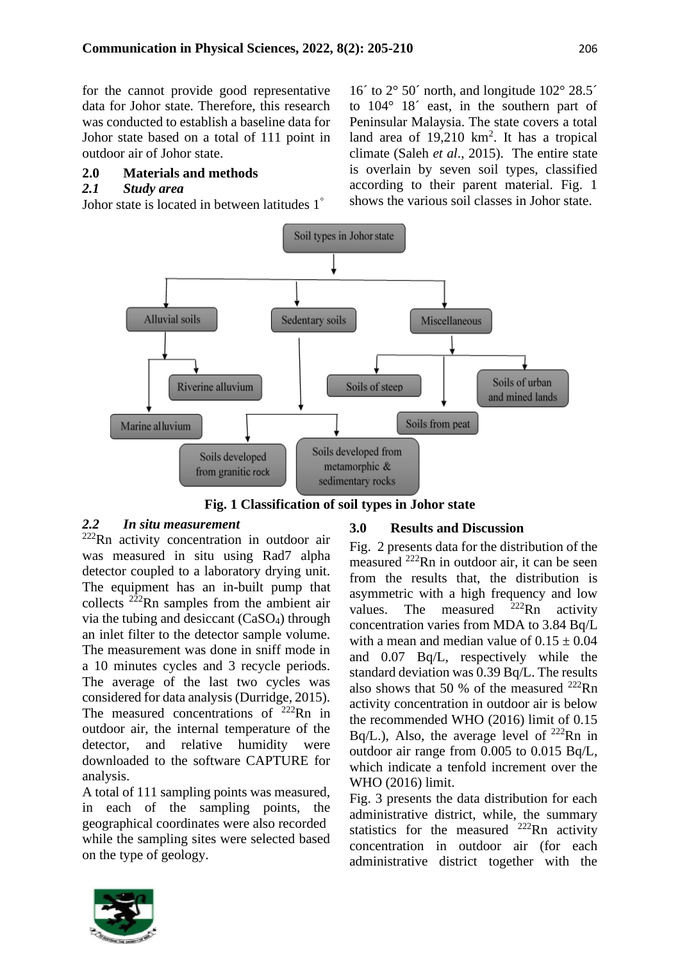for the cannot provide good representative data for Johor state. Therefore, this research was conducted to establish a baseline data for Johor state based on a total of 111 point in outdoor air of Johor state.

### **2.0 Materials and methods**

#### *2.1 Study area*

Johor state is located in between latitudes 1°

16<sup> $\degree$ </sup> to 2 $\degree$  50 $\degree$  north, and longitude 102 $\degree$  28.5 $\degree$ to 104° 18´ east, in the southern part of Peninsular Malaysia. The state covers a total land area of  $19,210 \text{ km}^2$ . It has a tropical climate (Saleh *et al*., 2015). The entire state is overlain by seven soil types, classified according to their parent material. Fig. 1 shows the various soil classes in Johor state.



**Fig. 1 Classification of soil types in Johor state**

### *2.2 In situ measurement*

<sup>222</sup>Rn activity concentration in outdoor air was measured in situ using Rad7 alpha detector coupled to a laboratory drying unit. The equipment has an in-built pump that collects  $2\overline{2}$ Rn samples from the ambient air via the tubing and desiccant  $(CaSO<sub>4</sub>)$  through an inlet filter to the detector sample volume. The measurement was done in sniff mode in a 10 minutes cycles and 3 recycle periods. The average of the last two cycles was considered for data analysis (Durridge, 2015). The measured concentrations of  $^{222}$ Rn in outdoor air, the internal temperature of the detector, and relative humidity were downloaded to the software CAPTURE for analysis.

A total of 111 sampling points was measured, in each of the sampling points, the geographical coordinates were also recorded while the sampling sites were selected based on the type of geology.

### **3.0 Results and Discussion**

Fig. 2 presents data for the distribution of the measured  $^{222}$ Rn in outdoor air, it can be seen from the results that, the distribution is asymmetric with a high frequency and low values. The measured  $2^{22}$ Rn activity concentration varies from MDA to 3.84 Bq/L with a mean and median value of  $0.15 \pm 0.04$ and 0.07 Bq/L, respectively while the standard deviation was 0.39 Bq/L. The results also shows that 50 % of the measured  $^{222}$ Rn activity concentration in outdoor air is below the recommended WHO (2016) limit of 0.15 Bq/L.), Also, the average level of  $^{222}$ Rn in outdoor air range from 0.005 to 0.015 Bq/L, which indicate a tenfold increment over the WHO (2016) limit.

Fig. 3 presents the data distribution for each administrative district, while, the summary statistics for the measured  $^{222}$ Rn activity concentration in outdoor air (for each administrative district together with the

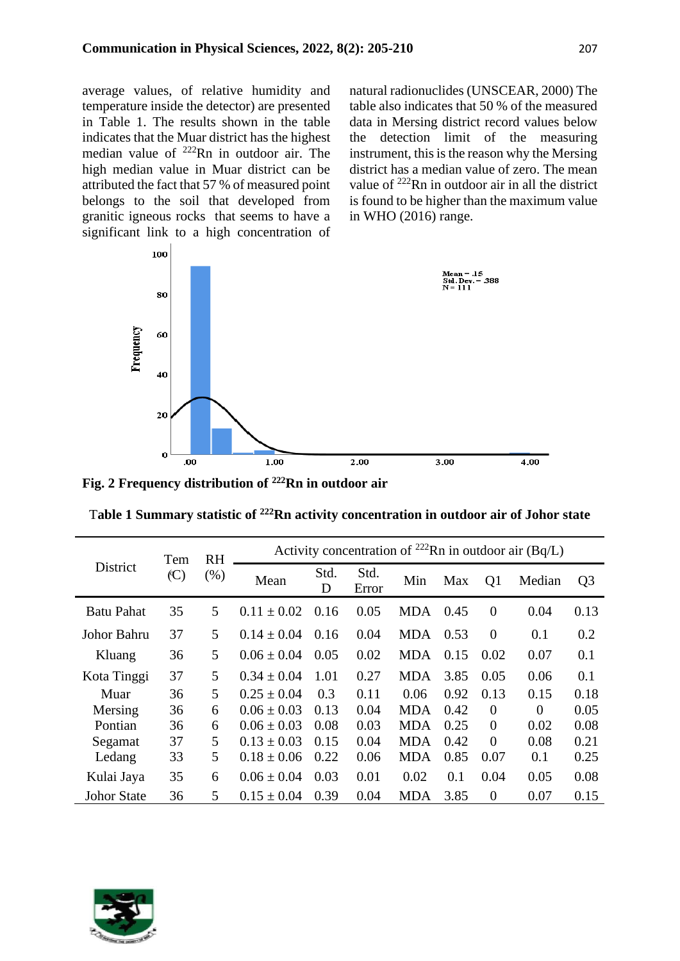average values, of relative humidity and temperature inside the detector) are presented in Table 1. The results shown in the table indicates that the Muar district has the highest median value of <sup>222</sup>Rn in outdoor air. The high median value in Muar district can be attributed the fact that 57 % of measured point belongs to the soil that developed from granitic igneous rocks that seems to have a significant link to a high concentration of natural radionuclides (UNSCEAR, 2000) The table also indicates that 50 % of the measured data in Mersing district record values below the detection limit of the measuring instrument, this is the reason why the Mersing district has a median value of zero. The mean value of <sup>222</sup>Rn in outdoor air in all the district is found to be higher than the maximum value in WHO (2016) range.



**Fig. 2 Frequency distribution of <sup>222</sup>Rn in outdoor air**

| District           | Tem<br>(C) | <b>RH</b><br>(% ) | Activity concentration of <sup>222</sup> Rn in outdoor air (Bq/L) |           |               |            |      |                |          |                |
|--------------------|------------|-------------------|-------------------------------------------------------------------|-----------|---------------|------------|------|----------------|----------|----------------|
|                    |            |                   | Mean                                                              | Std.<br>D | Std.<br>Error | Min        | Max  | Q <sub>1</sub> | Median   | Q <sub>3</sub> |
| <b>Batu Pahat</b>  | 35         | 5                 | $0.11 \pm 0.02$                                                   | 0.16      | 0.05          | MDA.       | 0.45 | $\overline{0}$ | 0.04     | 0.13           |
| Johor Bahru        | 37         | 5                 | $0.14 \pm 0.04$                                                   | 0.16      | 0.04          | <b>MDA</b> | 0.53 | $\Omega$       | 0.1      | 0.2            |
| Kluang             | 36         | 5                 | $0.06 \pm 0.04$                                                   | 0.05      | 0.02          | <b>MDA</b> | 0.15 | 0.02           | 0.07     | 0.1            |
| Kota Tinggi        | 37         | 5                 | $0.34 \pm 0.04$                                                   | 1.01      | 0.27          | <b>MDA</b> | 3.85 | 0.05           | 0.06     | 0.1            |
| Muar               | 36         | 5                 | $0.25 \pm 0.04$                                                   | 0.3       | 0.11          | 0.06       | 0.92 | 0.13           | 0.15     | 0.18           |
| Mersing            | 36         | 6                 | $0.06 \pm 0.03$                                                   | 0.13      | 0.04          | <b>MDA</b> | 0.42 | $\Omega$       | $\Omega$ | 0.05           |
| Pontian            | 36         | 6                 | $0.06 \pm 0.03$                                                   | 0.08      | 0.03          | <b>MDA</b> | 0.25 | $\Omega$       | 0.02     | 0.08           |
| Segamat            | 37         | 5                 | $0.13 \pm 0.03$                                                   | 0.15      | 0.04          | <b>MDA</b> | 0.42 | $\Omega$       | 0.08     | 0.21           |
| Ledang             | 33         | 5                 | $0.18 \pm 0.06$                                                   | 0.22      | 0.06          | <b>MDA</b> | 0.85 | 0.07           | 0.1      | 0.25           |
| Kulai Jaya         | 35         | 6                 | $0.06 \pm 0.04$                                                   | 0.03      | 0.01          | 0.02       | 0.1  | 0.04           | 0.05     | 0.08           |
| <b>Johor State</b> | 36         | 5                 | $0.15 \pm 0.04$                                                   | 0.39      | 0.04          | <b>MDA</b> | 3.85 | $\overline{0}$ | 0.07     | 0.15           |

T**able 1 Summary statistic of <sup>222</sup>Rn activity concentration in outdoor air of Johor state**

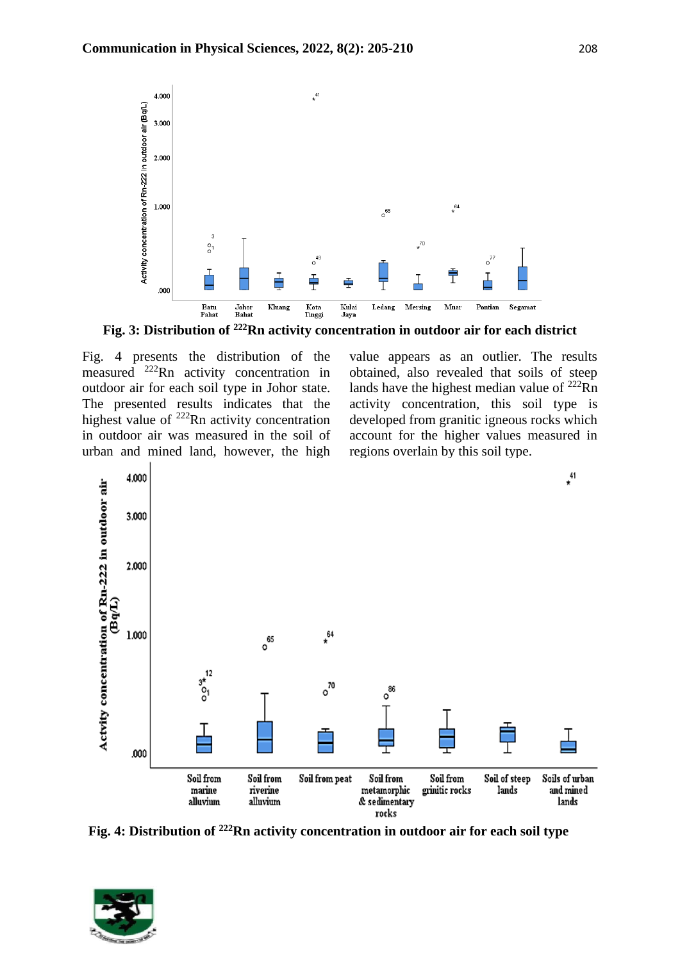

**Fig. 3: Distribution of <sup>222</sup>Rn activity concentration in outdoor air for each district**

Fig. 4 presents the distribution of the measured <sup>222</sup>Rn activity concentration in outdoor air for each soil type in Johor state. The presented results indicates that the highest value of <sup>222</sup>Rn activity concentration in outdoor air was measured in the soil of urban and mined land, however, the high value appears as an outlier. The results obtained, also revealed that soils of steep lands have the highest median value of  $^{222}$ Rn activity concentration, this soil type is developed from granitic igneous rocks which account for the higher values measured in regions overlain by this soil type.



**Fig. 4: Distribution of 222Rn activity concentration in outdoor air for each soil type**

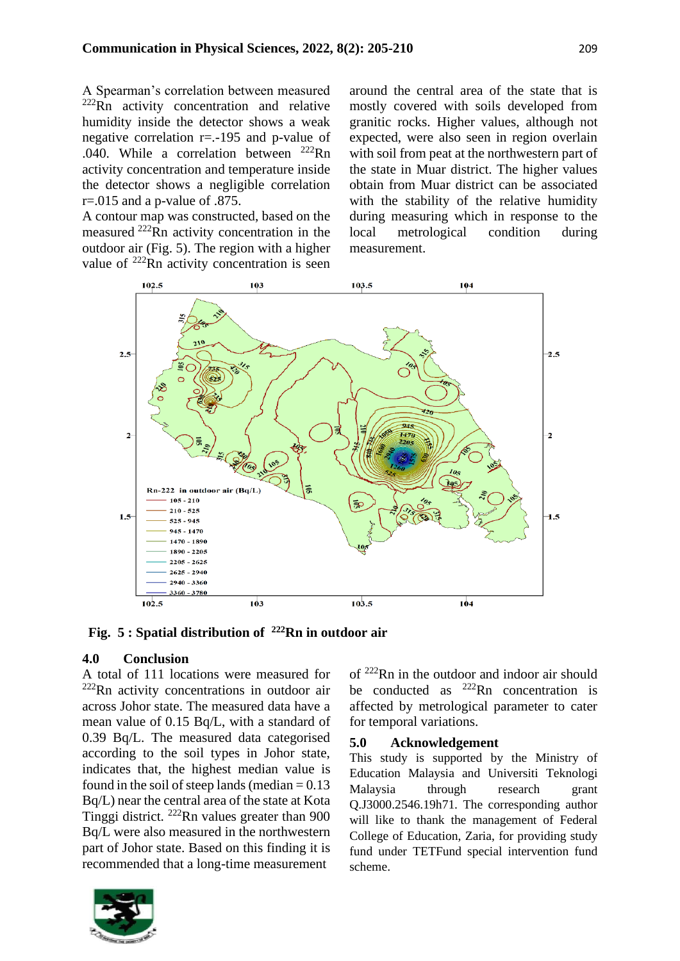A Spearman's correlation between measured  $222Rn$  activity concentration and relative humidity inside the detector shows a weak negative correlation r=.-195 and p-value of .040. While a correlation between <sup>222</sup>Rn activity concentration and temperature inside the detector shows a negligible correlation  $r = 0.015$  and a p-value of .875.

A contour map was constructed, based on the measured <sup>222</sup>Rn activity concentration in the outdoor air (Fig. 5). The region with a higher value of <sup>222</sup>Rn activity concentration is seen around the central area of the state that is mostly covered with soils developed from granitic rocks. Higher values, although not expected, were also seen in region overlain with soil from peat at the northwestern part of the state in Muar district. The higher values obtain from Muar district can be associated with the stability of the relative humidity during measuring which in response to the local metrological condition during measurement.



**Fig. 5 : Spatial distribution of <sup>222</sup>Rn in outdoor air**

### **4.0 Conclusion**

A total of 111 locations were measured for <sup>222</sup>Rn activity concentrations in outdoor air across Johor state. The measured data have a mean value of 0.15 Bq/L, with a standard of 0.39 Bq/L. The measured data categorised according to the soil types in Johor state, indicates that, the highest median value is found in the soil of steep lands (median  $= 0.13$ ) Bq/L) near the central area of the state at Kota Tinggi district. <sup>222</sup>Rn values greater than 900 Bq/L were also measured in the northwestern part of Johor state. Based on this finding it is recommended that a long-time measurement



of <sup>222</sup>Rn in the outdoor and indoor air should be conducted as  $^{222}$ Rn concentration is affected by metrological parameter to cater for temporal variations.

#### **5.0 Acknowledgement**

This study is supported by the Ministry of Education Malaysia and Universiti Teknologi Malaysia through research grant Q.J3000.2546.19h71. The corresponding author will like to thank the management of Federal College of Education, Zaria, for providing study fund under TETFund special intervention fund scheme.